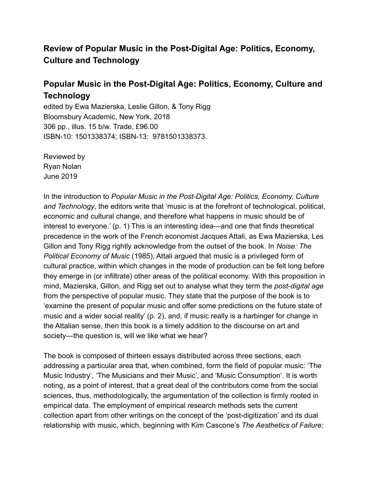# **Review of Popular Music in the Post-Digital Age: Politics, Economy, Culture and Technology**

# **Popular Music in the Post-Digital Age: Politics, Economy, Culture and Technology**

edited by Ewa Mazierska, Leslie Gillon, & Tony Rigg Bloomsbury Academic, New York, 2018 306 pp., illus. 15 b/w. Trade, £96.00 ISBN-10: 1501338374; ISBN-13: 9781501338373.

Reviewed by Ryan Nolan June 2019

In the introduction to *Popular Music in the Post-Digital Age: Politics, Economy, Culture and Technology*, the editors write that 'music is at the forefront of technological, political, economic and cultural change, and therefore what happens in music should be of interest to everyone.' (p. 1) This is an interesting idea—and one that finds theoretical precedence in the work of the French economist Jacques Attali, as Ewa Mazierska, Les Gillon and Tony Rigg rightly acknowledge from the outset of the book. In *Noise: The Political Economy of Music* (1985), Attali argued that music is a privileged form of cultural practice, within which changes in the mode of production can be felt long before they emerge in (or infiltrate) other areas of the political economy. With this proposition in mind, Mazierska, Gillon, and Rigg set out to analyse what they term the *post-digital age* from the perspective of popular music. They state that the purpose of the book is to 'examine the present of popular music and offer some predictions on the future state of music and a wider social reality' (p. 2), and, if music really is a harbinger for change in the Attalian sense, then this book is a timely addition to the discourse on art and society—the question is, will we like what we hear?

The book is composed of thirteen essays distributed across three sections, each addressing a particular area that, when combined, form the field of popular music: 'The Music Industry', 'The Musicians and their Music', and 'Music Consumption'. It is worth noting, as a point of interest, that a great deal of the contributors come from the social sciences, thus, methodologically, the argumentation of the collection is firmly rooted in empirical data. The employment of empirical research methods sets the current collection apart from other writings on the concept of the 'post-digitization' and its dual relationship with music, which, beginning with Kim Cascone's *The Aesthetics of Failure:*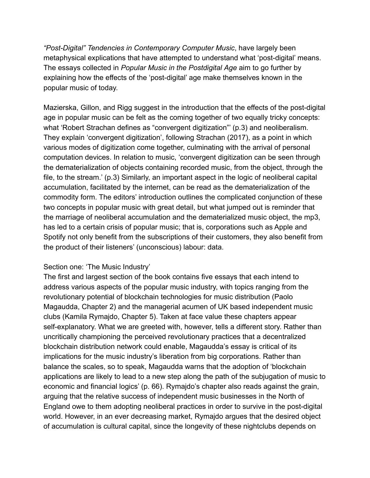*"Post-Digital" Tendencies in Contemporary Computer Music*, have largely been metaphysical explications that have attempted to understand what 'post-digital' means. The essays collected in *Popular Music in the Postdigital Age* aim to go further by explaining how the effects of the 'post-digital' age make themselves known in the popular music of today.

Mazierska, Gillon, and Rigg suggest in the introduction that the effects of the post-digital age in popular music can be felt as the coming together of two equally tricky concepts: what 'Robert Strachan defines as "convergent digitization"' (p.3) and neoliberalism. They explain 'convergent digitization', following Strachan (2017), as a point in which various modes of digitization come together, culminating with the arrival of personal computation devices. In relation to music, 'convergent digitization can be seen through the dematerialization of objects containing recorded music, from the object, through the file, to the stream.' (p.3) Similarly, an important aspect in the logic of neoliberal capital accumulation, facilitated by the internet, can be read as the dematerialization of the commodity form. The editors' introduction outlines the complicated conjunction of these two concepts in popular music with great detail, but what jumped out is reminder that the marriage of neoliberal accumulation and the dematerialized music object, the mp3, has led to a certain crisis of popular music; that is, corporations such as Apple and Spotify not only benefit from the subscriptions of their customers, they also benefit from the product of their listeners' (unconscious) labour: data.

### Section one: 'The Music Industry'

The first and largest section of the book contains five essays that each intend to address various aspects of the popular music industry, with topics ranging from the revolutionary potential of blockchain technologies for music distribution (Paolo Magaudda, Chapter 2) and the managerial acumen of UK based independent music clubs (Kamila Rymajdo, Chapter 5). Taken at face value these chapters appear self-explanatory. What we are greeted with, however, tells a different story. Rather than uncritically championing the perceived revolutionary practices that a decentralized blockchain distribution network could enable, Magaudda's essay is critical of its implications for the music industry's liberation from big corporations. Rather than balance the scales, so to speak, Magaudda warns that the adoption of 'blockchain applications are likely to lead to a new step along the path of the subjugation of music to economic and financial logics' (p. 66). Rymajdo's chapter also reads against the grain, arguing that the relative success of independent music businesses in the North of England owe to them adopting neoliberal practices in order to survive in the post-digital world. However, in an ever decreasing market, Rymajdo argues that the desired object of accumulation is cultural capital, since the longevity of these nightclubs depends on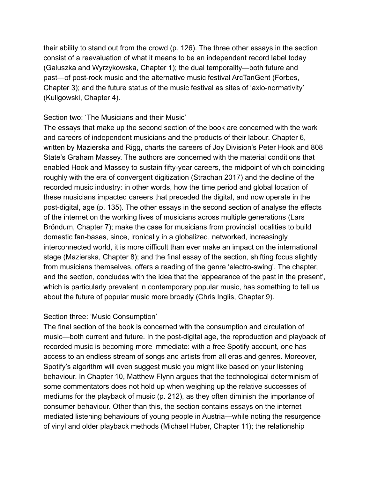their ability to stand out from the crowd (p. 126). The three other essays in the section consist of a reevaluation of what it means to be an independent record label today (Galuszka and Wyrzykowska, Chapter 1); the dual temporality—both future and past—of post-rock music and the alternative music festival ArcTanGent (Forbes, Chapter 3); and the future status of the music festival as sites of 'axio-normativity' (Kuligowski, Chapter 4).

### Section two: 'The Musicians and their Music'

The essays that make up the second section of the book are concerned with the work and careers of independent musicians and the products of their labour. Chapter 6, written by Mazierska and Rigg, charts the careers of Joy Division's Peter Hook and 808 State's Graham Massey. The authors are concerned with the material conditions that enabled Hook and Massey to sustain fifty-year careers, the midpoint of which coinciding roughly with the era of convergent digitization (Strachan 2017) and the decline of the recorded music industry: in other words, how the time period and global location of these musicians impacted careers that preceded the digital, and now operate in the post-digital, age (p. 135). The other essays in the second section of analyse the effects of the internet on the working lives of musicians across multiple generations (Lars Bröndum, Chapter 7); make the case for musicians from provincial localities to build domestic fan-bases, since, ironically in a globalized, networked, increasingly interconnected world, it is more difficult than ever make an impact on the international stage (Mazierska, Chapter 8); and the final essay of the section, shifting focus slightly from musicians themselves, offers a reading of the genre 'electro-swing'. The chapter, and the section, concludes with the idea that the 'appearance of the past in the present', which is particularly prevalent in contemporary popular music, has something to tell us about the future of popular music more broadly (Chris Inglis, Chapter 9).

### Section three: 'Music Consumption'

The final section of the book is concerned with the consumption and circulation of music—both current and future. In the post-digital age, the reproduction and playback of recorded music is becoming more immediate: with a free Spotify account, one has access to an endless stream of songs and artists from all eras and genres. Moreover, Spotify's algorithm will even suggest music you might like based on your listening behaviour. In Chapter 10, Matthew Flynn argues that the technological determinism of some commentators does not hold up when weighing up the relative successes of mediums for the playback of music (p. 212), as they often diminish the importance of consumer behaviour. Other than this, the section contains essays on the internet mediated listening behaviours of young people in Austria—while noting the resurgence of vinyl and older playback methods (Michael Huber, Chapter 11); the relationship